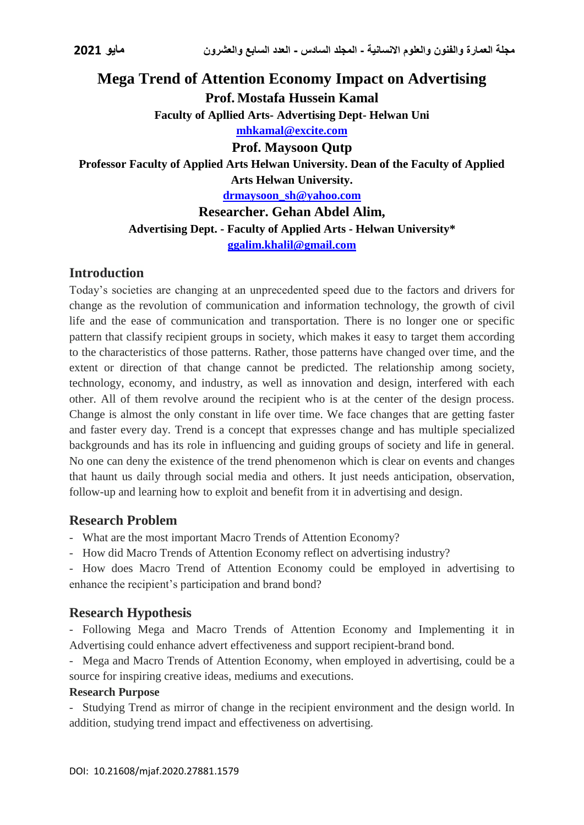# **Mega Trend of Attention Economy Impact on Advertising Prof. Mostafa Hussein Kamal Faculty of Apllied Arts- Advertising Dept- Helwan Uni [mhkamal@excite.com](mailto:mhkamal@excite.com) Prof. Maysoon Qutp Professor Faculty of Applied Arts Helwan University. Dean of the Faculty of Applied Arts Helwan University. [drmaysoon\\_sh@yahoo.com](mailto:drmaysoon_sh@yahoo.com)**

**Researcher. Gehan Abdel Alim, Advertising Dept. - Faculty of Applied Arts - Helwan University\* [ggalim.khalil@gmail.com](mailto:ggalim.khalil@gmail.com)**

## **Introduction**

Today's societies are changing at an unprecedented speed due to the factors and drivers for change as the revolution of communication and information technology, the growth of civil life and the ease of communication and transportation. There is no longer one or specific pattern that classify recipient groups in society, which makes it easy to target them according to the characteristics of those patterns. Rather, those patterns have changed over time, and the extent or direction of that change cannot be predicted. The relationship among society, technology, economy, and industry, as well as innovation and design, interfered with each other. All of them revolve around the recipient who is at the center of the design process. Change is almost the only constant in life over time. We face changes that are getting faster and faster every day. Trend is a concept that expresses change and has multiple specialized backgrounds and has its role in influencing and guiding groups of society and life in general. No one can deny the existence of the trend phenomenon which is clear on events and changes that haunt us daily through social media and others. It just needs anticipation, observation, follow-up and learning how to exploit and benefit from it in advertising and design.

### **Research Problem**

- What are the most important Macro Trends of Attention Economy?

- How did Macro Trends of Attention Economy reflect on advertising industry?

- How does Macro Trend of Attention Economy could be employed in advertising to enhance the recipient's participation and brand bond?

## **Research Hypothesis**

- Following Mega and Macro Trends of Attention Economy and Implementing it in Advertising could enhance advert effectiveness and support recipient-brand bond.

- Mega and Macro Trends of Attention Economy, when employed in advertising, could be a source for inspiring creative ideas, mediums and executions.

### **Research Purpose**

- Studying Trend as mirror of change in the recipient environment and the design world. In addition, studying trend impact and effectiveness on advertising.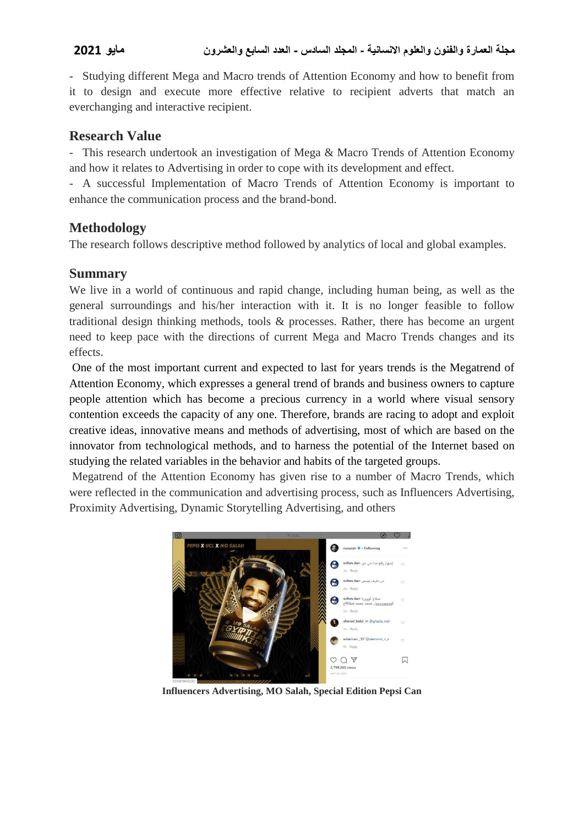- Studying different Mega and Macro trends of Attention Economy and how to benefit from it to design and execute more effective relative to recipient adverts that match an everchanging and interactive recipient.

## **Research Value**

- This research undertook an investigation of Mega & Macro Trends of Attention Economy and how it relates to Advertising in order to cope with its development and effect.

- A successful Implementation of Macro Trends of Attention Economy is important to enhance the communication process and the brand-bond.

## **Methodology**

The research follows descriptive method followed by analytics of local and global examples.

## **Summary**

We live in a world of continuous and rapid change, including human being, as well as the general surroundings and his/her interaction with it. It is no longer feasible to follow traditional design thinking methods, tools & processes. Rather, there has become an urgent need to keep pace with the directions of current Mega and Macro Trends changes and its effects.

One of the most important current and expected to last for years trends is the Megatrend of Attention Economy, which expresses a general trend of brands and business owners to capture people attention which has become a precious currency in a world where visual sensory contention exceeds the capacity of any one. Therefore, brands are racing to adopt and exploit creative ideas, innovative means and methods of advertising, most of which are based on the innovator from technological methods, and to harness the potential of the Internet based on studying the related variables in the behavior and habits of the targeted groups.

Megatrend of the Attention Economy has given rise to a number of Macro Trends, which were reflected in the communication and advertising process, such as Influencers Advertising, Proximity Advertising, Dynamic Storytelling Advertising, and others



**Influencers Advertising, MO Salah, Special Edition Pepsi Can**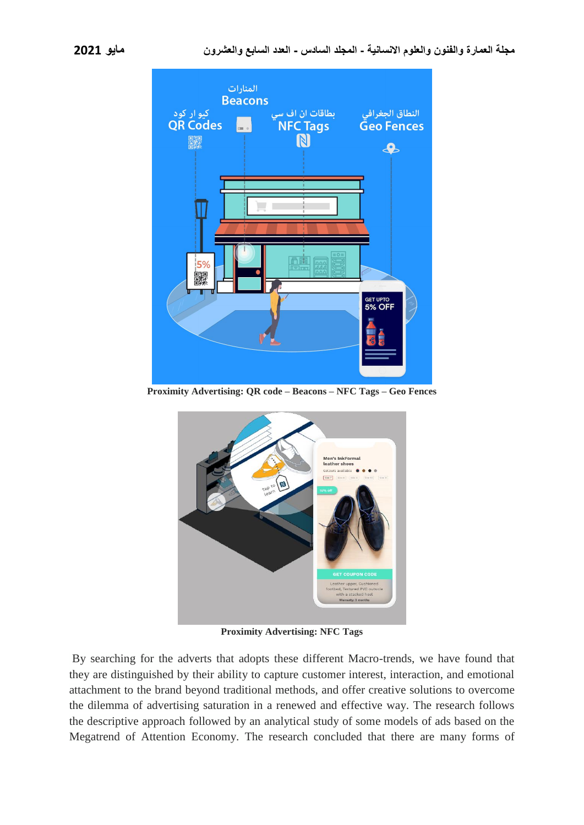

**Proximity Advertising: QR code – Beacons – NFC Tags – Geo Fences**



**Proximity Advertising: NFC Tags**

By searching for the adverts that adopts these different Macro-trends, we have found that they are distinguished by their ability to capture customer interest, interaction, and emotional attachment to the brand beyond traditional methods, and offer creative solutions to overcome the dilemma of advertising saturation in a renewed and effective way. The research follows the descriptive approach followed by an analytical study of some models of ads based on the Megatrend of Attention Economy. The research concluded that there are many forms of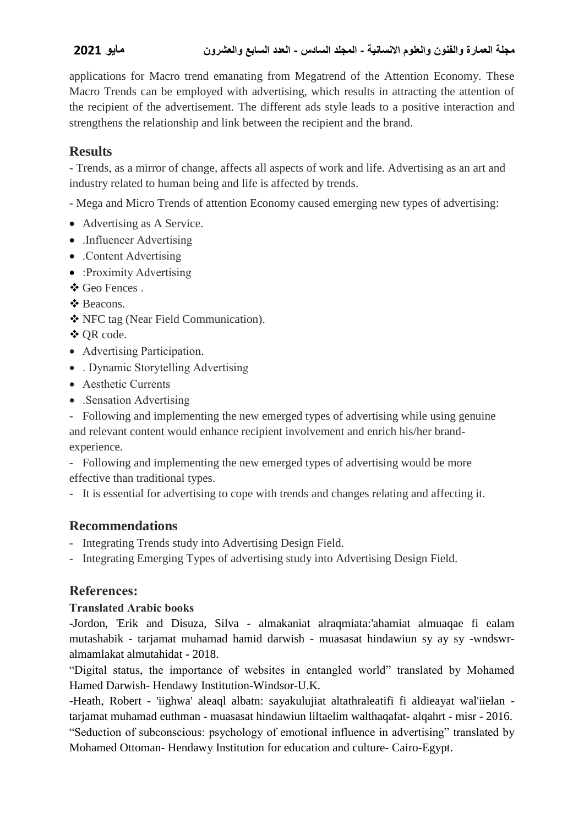applications for Macro trend emanating from Megatrend of the Attention Economy. These Macro Trends can be employed with advertising, which results in attracting the attention of the recipient of the advertisement. The different ads style leads to a positive interaction and strengthens the relationship and link between the recipient and the brand.

# **Results**

- Trends, as a mirror of change, affects all aspects of work and life. Advertising as an art and industry related to human being and life is affected by trends.

- Mega and Micro Trends of attention Economy caused emerging new types of advertising:

- Advertising as A Service.
- .Influencer Advertising
- Content Advertising
- :Proximity Advertising
- Geo Fences .
- Beacons.
- NFC tag (Near Field Communication).
- **❖ OR code.**
- Advertising Participation.
- . Dynamic Storytelling Advertising
- Aesthetic Currents
- Sensation Advertising

- Following and implementing the new emerged types of advertising while using genuine and relevant content would enhance recipient involvement and enrich his/her brandexperience.

- Following and implementing the new emerged types of advertising would be more effective than traditional types.

- It is essential for advertising to cope with trends and changes relating and affecting it.

# **Recommendations**

- Integrating Trends study into Advertising Design Field.
- Integrating Emerging Types of advertising study into Advertising Design Field.

## **References:**

### **Translated Arabic books**

-Jordon, 'Erik and Disuza, Silva - almakaniat alraqmiata:'ahamiat almuaqae fi ealam mutashabik - tarjamat muhamad hamid darwish - muasasat hindawiun sy ay sy -wndswralmamlakat almutahidat - 2018.

"Digital status, the importance of websites in entangled world" translated by Mohamed Hamed Darwish- Hendawy Institution-Windsor-U.K.

-Heath, Robert - 'iighwa' aleaql albatn: sayakulujiat altathraleatifi fi aldieayat wal'iielan tarjamat muhamad euthman - muasasat hindawiun liltaelim walthaqafat- alqahrt - misr - 2016. "Seduction of subconscious: psychology of emotional influence in advertising" translated by Mohamed Ottoman- Hendawy Institution for education and culture- Cairo-Egypt.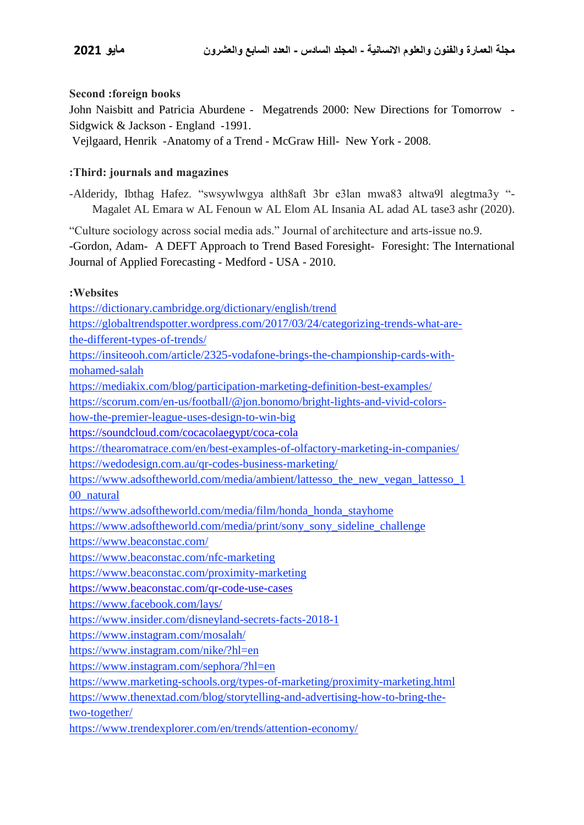### **Second :foreign books**

John Naisbitt and Patricia Aburdene - Megatrends 2000: New Directions for Tomorrow - Sidgwick & Jackson - England -1991.

Vejlgaard, Henrik -Anatomy of a Trend - McGraw Hill- New York - 2008.

### **:Third: journals and magazines**

-Alderidy, Ibthag Hafez. "swsywlwgya alth8aft 3br e3lan mwa83 altwa9l alegtma3y "- Magalet AL Emara w AL Fenoun w AL Elom AL Insania AL adad AL tase3 ashr (2020).

"Culture sociology across social media ads." Journal of architecture and arts-issue no.9.

-Gordon, Adam- A DEFT Approach to Trend Based Foresight- Foresight: The International Journal of Applied Forecasting - Medford - USA - 2010.

### **:Websites**

https://dictionary.cambridge.org/dictionary/english/trend

- https://globaltrendspotter.wordpress.com/2017/03/24/categorizing-trends-what-arethe-different-types-of-trends/
- https://insiteooh.com/article/2325-vodafone-brings-the-championship-cards-withmohamed-salah

<https://mediakix.com/blog/participation-marketing-definition-best-examples/>

[https://scorum.com/en-us/football/@jon.bonomo/bright-lights-and-vivid-colors-](https://scorum.com/en-us/football/@jon.bonomo/bright-lights-and-vivid-colors-how-the-premier-league-uses-design-to-win-big)

[how-the-premier-league-uses-design-to-win-big](https://scorum.com/en-us/football/@jon.bonomo/bright-lights-and-vivid-colors-how-the-premier-league-uses-design-to-win-big)

<https://soundcloud.com/cocacolaegypt/coca-cola>

https://thearomatrace.com/en/best-examples-of-olfactory-marketing-in-companies/

<https://wedodesign.com.au/qr-codes-business-marketing/>

[https://www.adsoftheworld.com/media/ambient/lattesso\\_the\\_new\\_vegan\\_lattesso\\_1](https://www.adsoftheworld.com/media/ambient/lattesso_the_new_vegan_lattesso_100_natural) [00\\_natural](https://www.adsoftheworld.com/media/ambient/lattesso_the_new_vegan_lattesso_100_natural)

[https://www.adsoftheworld.com/media/film/honda\\_honda\\_stayhome](https://www.adsoftheworld.com/media/film/honda_honda_stayhome)

[https://www.adsoftheworld.com/media/print/sony\\_sony\\_sideline\\_challenge](https://www.adsoftheworld.com/media/print/sony_sony_sideline_challenge)

https://www.beaconstac.com/

https://www.beaconstac.com/nfc-marketing

<https://www.beaconstac.com/proximity-marketing>

<https://www.beaconstac.com/>qr-code-use-cases

https://www.facebook.com/lays/

https://www.insider.com/disneyland-secrets-facts-2018-1

https://www.instagram.com/mosalah/

https://www.instagram.com/nike/?hl=en

https://www.instagram.com/sephora/?hl=en

https://www.marketing-schools.org/types-of-marketing/proximity-marketing.html

https://www.thenextad.com/blog/storytelling-and-advertising-how-to-bring-the-

two-together/

https://www.trendexplorer.com/en/trends/attention-economy/